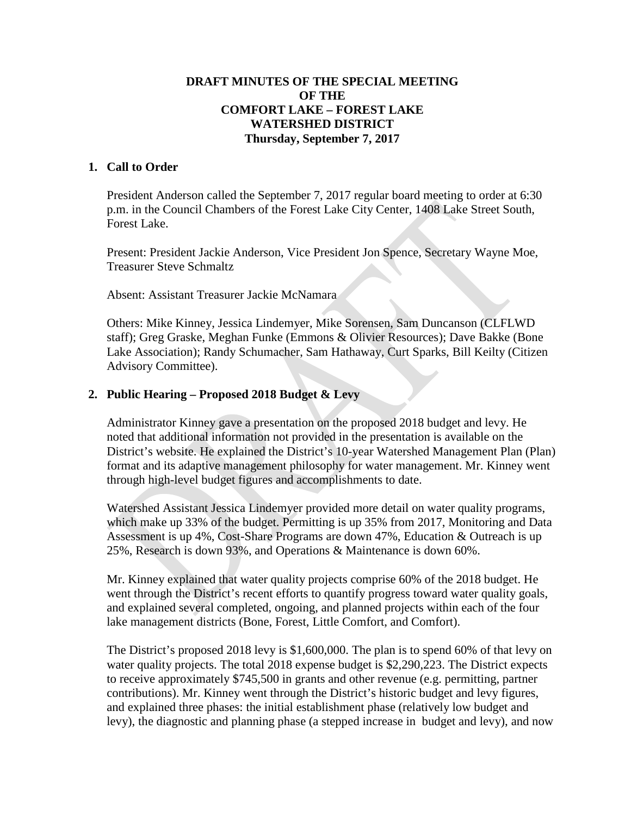### **DRAFT MINUTES OF THE SPECIAL MEETING OF THE COMFORT LAKE – FOREST LAKE WATERSHED DISTRICT Thursday, September 7, 2017**

#### **1. Call to Order**

President Anderson called the September 7, 2017 regular board meeting to order at 6:30 p.m. in the Council Chambers of the Forest Lake City Center, 1408 Lake Street South, Forest Lake.

Present: President Jackie Anderson, Vice President Jon Spence, Secretary Wayne Moe, Treasurer Steve Schmaltz

Absent: Assistant Treasurer Jackie McNamara

Others: Mike Kinney, Jessica Lindemyer, Mike Sorensen, Sam Duncanson (CLFLWD staff); Greg Graske, Meghan Funke (Emmons & Olivier Resources); Dave Bakke (Bone Lake Association); Randy Schumacher, Sam Hathaway, Curt Sparks, Bill Keilty (Citizen Advisory Committee).

### **2. Public Hearing – Proposed 2018 Budget & Levy**

Administrator Kinney gave a presentation on the proposed 2018 budget and levy. He noted that additional information not provided in the presentation is available on the District's website. He explained the District's 10-year Watershed Management Plan (Plan) format and its adaptive management philosophy for water management. Mr. Kinney went through high-level budget figures and accomplishments to date.

Watershed Assistant Jessica Lindemyer provided more detail on water quality programs, which make up 33% of the budget. Permitting is up 35% from 2017, Monitoring and Data Assessment is up 4%, Cost-Share Programs are down 47%, Education & Outreach is up 25%, Research is down 93%, and Operations & Maintenance is down 60%.

Mr. Kinney explained that water quality projects comprise 60% of the 2018 budget. He went through the District's recent efforts to quantify progress toward water quality goals, and explained several completed, ongoing, and planned projects within each of the four lake management districts (Bone, Forest, Little Comfort, and Comfort).

The District's proposed 2018 levy is \$1,600,000. The plan is to spend 60% of that levy on water quality projects. The total 2018 expense budget is \$2,290,223. The District expects to receive approximately \$745,500 in grants and other revenue (e.g. permitting, partner contributions). Mr. Kinney went through the District's historic budget and levy figures, and explained three phases: the initial establishment phase (relatively low budget and levy), the diagnostic and planning phase (a stepped increase in budget and levy), and now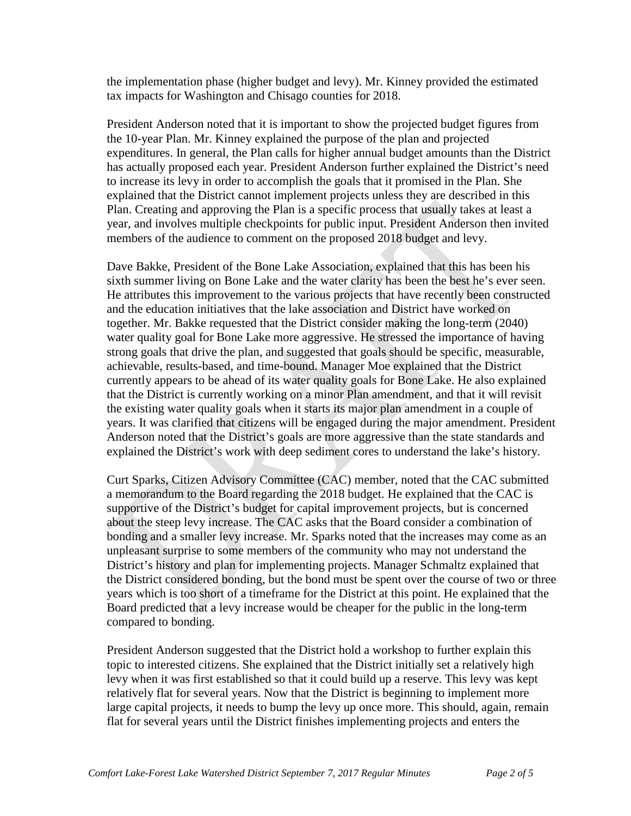the implementation phase (higher budget and levy). Mr. Kinney provided the estimated tax impacts for Washington and Chisago counties for 2018.

President Anderson noted that it is important to show the projected budget figures from the 10-year Plan. Mr. Kinney explained the purpose of the plan and projected expenditures. In general, the Plan calls for higher annual budget amounts than the District has actually proposed each year. President Anderson further explained the District's need to increase its levy in order to accomplish the goals that it promised in the Plan. She explained that the District cannot implement projects unless they are described in this Plan. Creating and approving the Plan is a specific process that usually takes at least a year, and involves multiple checkpoints for public input. President Anderson then invited members of the audience to comment on the proposed 2018 budget and levy.

Dave Bakke, President of the Bone Lake Association, explained that this has been his sixth summer living on Bone Lake and the water clarity has been the best he's ever seen. He attributes this improvement to the various projects that have recently been constructed and the education initiatives that the lake association and District have worked on together. Mr. Bakke requested that the District consider making the long-term (2040) water quality goal for Bone Lake more aggressive. He stressed the importance of having strong goals that drive the plan, and suggested that goals should be specific, measurable, achievable, results-based, and time-bound. Manager Moe explained that the District currently appears to be ahead of its water quality goals for Bone Lake. He also explained that the District is currently working on a minor Plan amendment, and that it will revisit the existing water quality goals when it starts its major plan amendment in a couple of years. It was clarified that citizens will be engaged during the major amendment. President Anderson noted that the District's goals are more aggressive than the state standards and explained the District's work with deep sediment cores to understand the lake's history.

Curt Sparks, Citizen Advisory Committee (CAC) member, noted that the CAC submitted a memorandum to the Board regarding the 2018 budget. He explained that the CAC is supportive of the District's budget for capital improvement projects, but is concerned about the steep levy increase. The CAC asks that the Board consider a combination of bonding and a smaller levy increase. Mr. Sparks noted that the increases may come as an unpleasant surprise to some members of the community who may not understand the District's history and plan for implementing projects. Manager Schmaltz explained that the District considered bonding, but the bond must be spent over the course of two or three years which is too short of a timeframe for the District at this point. He explained that the Board predicted that a levy increase would be cheaper for the public in the long-term compared to bonding.

President Anderson suggested that the District hold a workshop to further explain this topic to interested citizens. She explained that the District initially set a relatively high levy when it was first established so that it could build up a reserve. This levy was kept relatively flat for several years. Now that the District is beginning to implement more large capital projects, it needs to bump the levy up once more. This should, again, remain flat for several years until the District finishes implementing projects and enters the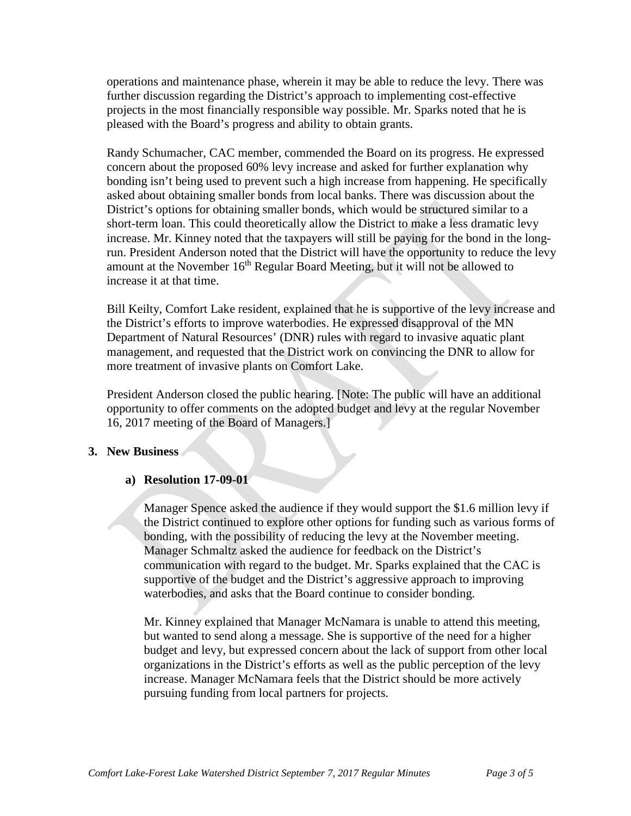operations and maintenance phase, wherein it may be able to reduce the levy. There was further discussion regarding the District's approach to implementing cost-effective projects in the most financially responsible way possible. Mr. Sparks noted that he is pleased with the Board's progress and ability to obtain grants.

Randy Schumacher, CAC member, commended the Board on its progress. He expressed concern about the proposed 60% levy increase and asked for further explanation why bonding isn't being used to prevent such a high increase from happening. He specifically asked about obtaining smaller bonds from local banks. There was discussion about the District's options for obtaining smaller bonds, which would be structured similar to a short-term loan. This could theoretically allow the District to make a less dramatic levy increase. Mr. Kinney noted that the taxpayers will still be paying for the bond in the longrun. President Anderson noted that the District will have the opportunity to reduce the levy amount at the November  $16<sup>th</sup>$  Regular Board Meeting, but it will not be allowed to increase it at that time.

Bill Keilty, Comfort Lake resident, explained that he is supportive of the levy increase and the District's efforts to improve waterbodies. He expressed disapproval of the MN Department of Natural Resources' (DNR) rules with regard to invasive aquatic plant management, and requested that the District work on convincing the DNR to allow for more treatment of invasive plants on Comfort Lake.

President Anderson closed the public hearing. [Note: The public will have an additional opportunity to offer comments on the adopted budget and levy at the regular November 16, 2017 meeting of the Board of Managers.]

#### **3. New Business**

## **a) Resolution 17-09-01**

Manager Spence asked the audience if they would support the \$1.6 million levy if the District continued to explore other options for funding such as various forms of bonding, with the possibility of reducing the levy at the November meeting. Manager Schmaltz asked the audience for feedback on the District's communication with regard to the budget. Mr. Sparks explained that the CAC is supportive of the budget and the District's aggressive approach to improving waterbodies, and asks that the Board continue to consider bonding.

Mr. Kinney explained that Manager McNamara is unable to attend this meeting, but wanted to send along a message. She is supportive of the need for a higher budget and levy, but expressed concern about the lack of support from other local organizations in the District's efforts as well as the public perception of the levy increase. Manager McNamara feels that the District should be more actively pursuing funding from local partners for projects.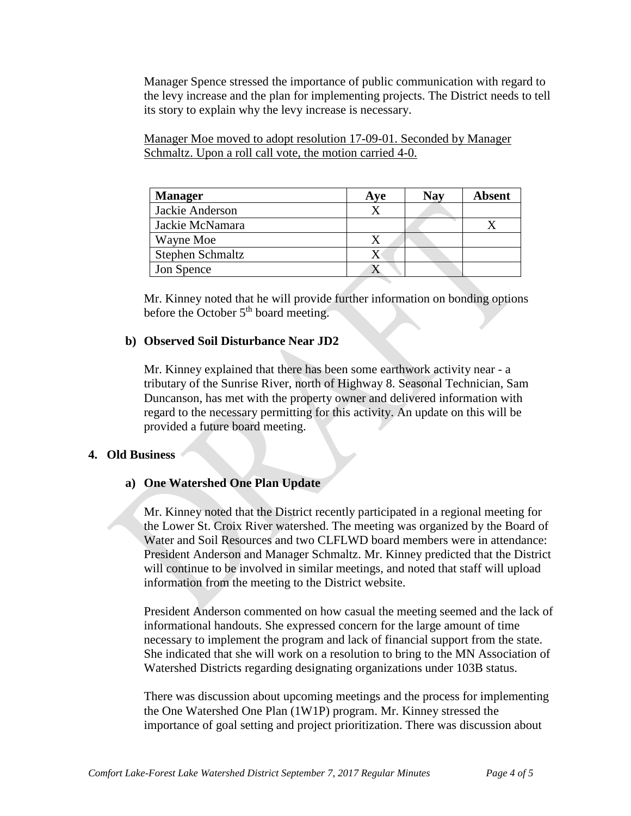Manager Spence stressed the importance of public communication with regard to the levy increase and the plan for implementing projects. The District needs to tell its story to explain why the levy increase is necessary.

Manager Moe moved to adopt resolution 17-09-01. Seconded by Manager Schmaltz. Upon a roll call vote, the motion carried 4-0.

| <b>Manager</b>   | Aye | <b>Nay</b> | <b>Absent</b> |
|------------------|-----|------------|---------------|
| Jackie Anderson  |     |            |               |
| Jackie McNamara  |     |            |               |
| Wayne Moe        |     |            |               |
| Stephen Schmaltz |     |            |               |
| Jon Spence       |     |            |               |

Mr. Kinney noted that he will provide further information on bonding options before the October  $5<sup>th</sup>$  board meeting.

### **b) Observed Soil Disturbance Near JD2**

Mr. Kinney explained that there has been some earthwork activity near - a tributary of the Sunrise River, north of Highway 8. Seasonal Technician, Sam Duncanson, has met with the property owner and delivered information with regard to the necessary permitting for this activity. An update on this will be provided a future board meeting.

#### **4. Old Business**

## **a) One Watershed One Plan Update**

Mr. Kinney noted that the District recently participated in a regional meeting for the Lower St. Croix River watershed. The meeting was organized by the Board of Water and Soil Resources and two CLFLWD board members were in attendance: President Anderson and Manager Schmaltz. Mr. Kinney predicted that the District will continue to be involved in similar meetings, and noted that staff will upload information from the meeting to the District website.

President Anderson commented on how casual the meeting seemed and the lack of informational handouts. She expressed concern for the large amount of time necessary to implement the program and lack of financial support from the state. She indicated that she will work on a resolution to bring to the MN Association of Watershed Districts regarding designating organizations under 103B status.

There was discussion about upcoming meetings and the process for implementing the One Watershed One Plan (1W1P) program. Mr. Kinney stressed the importance of goal setting and project prioritization. There was discussion about